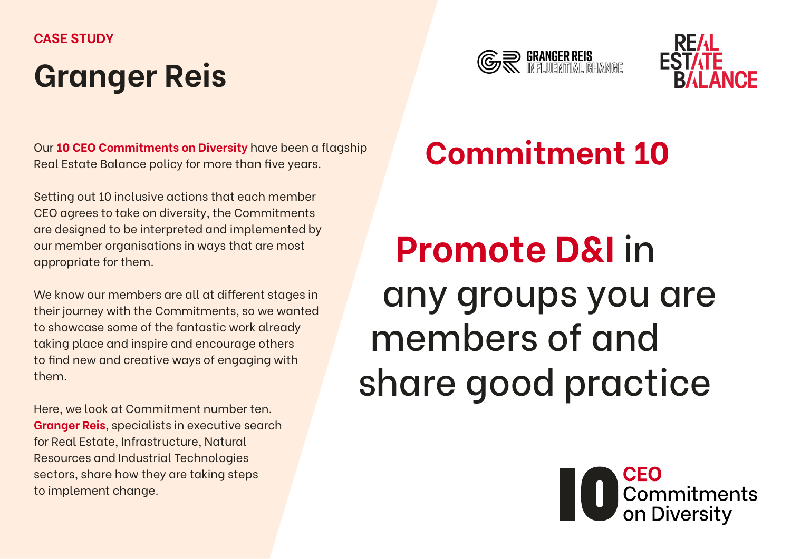#### **CASE STUDY**

## **Granger Reis**





Our **[10 CEO Commitments on Diversity](https://www.realestatebalance.org/our-work/ceo-commitments-on-diversity-1)** have been a flagship Real Estate Balance policy for more than five years.

Setting out 10 inclusive actions that each member CEO agrees to take on diversity, the Commitments are designed to be interpreted and implemented by our member organisations in ways that are most appropriate for them.

We know our members are all at different stages in their journey with the Commitments, so we wanted to showcase some of the fantastic work already taking place and inspire and encourage others to find new and creative ways of engaging with them.

Here, we look at Commitment number ten. **Granger Reis**, specialists in executive search for Real Estate, Infrastructure, Natural Resources and Industrial Technologies sectors, share how they are taking steps to implement change.

## **Commitment 10**

# **Promote D&I** in any groups you are members of and share good practice